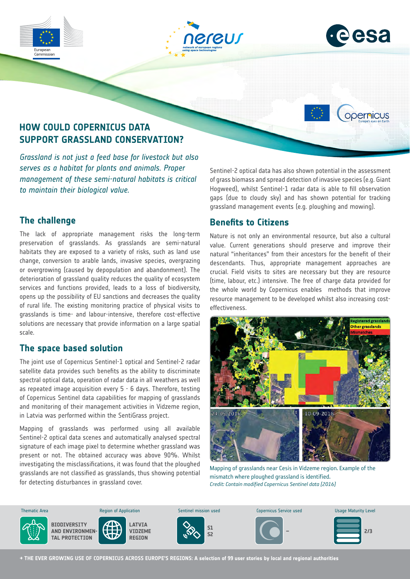





opernicus



*Grassland is not just a feed base for livestock but also serves as a habitat for plants and animals. Proper management of these semi-natural habitats is critical to maintain their biological value.*

## **The challenge**

The lack of appropriate management risks the long-term preservation of grasslands. As grasslands are semi-natural habitats they are exposed to a variety of risks, such as land use change, conversion to arable lands, invasive species, overgrazing or overgrowing (caused by depopulation and abandonment). The deterioration of grassland quality reduces the quality of ecosystem services and functions provided, leads to a loss of biodiversity, opens up the possibility of EU sanctions and decreases the quality of rural life. The existing monitoring practice of physical visits to grasslands is time- and labour-intensive, therefore cost-effective solutions are necessary that provide information on a large spatial scale.

## **The space based solution**

The joint use of Copernicus Sentinel-1 optical and Sentinel-2 radar satellite data provides such benefits as the ability to discriminate spectral optical data, operation of radar data in all weathers as well as repeated image acquisition every 5 - 6 days. Therefore, testing of Copernicus Sentinel data capabilities for mapping of grasslands and monitoring of their management activities in Vidzeme region, in Latvia was performed within the SentiGrass project.

Mapping of grasslands was performed using all available Sentinel-2 optical data scenes and automatically analysed spectral signature of each image pixel to determine whether grassland was present or not. The obtained accuracy was above 90%. Whilst investigating the misclassifications, it was found that the ploughed grasslands are not classified as grasslands, thus showing potential for detecting disturbances in grassland cover.

Sentinel-2 optical data has also shown potential in the assessment of grass biomass and spread detection of invasive species (e.g. Giant Hogweed), whilst Sentinel-1 radar data is able to fill observation gaps (due to cloudy sky) and has shown potential for tracking grassland management events (e.g. ploughing and mowing).

# **Benefits to Citizens**

Nature is not only an environmental resource, but also a cultural value. Current generations should preserve and improve their natural "inheritances" from their ancestors for the benefit of their descendants. Thus, appropriate management approaches are crucial. Field visits to sites are necessary but they are resource (time, labour, etc.) intensive. The free of charge data provided for the whole world by Copernicus enables methods that improve resource management to be developed whilst also increasing costeffectiveness.



Mapping of grasslands near Cesis in Vidzeme region. Example of the mismatch where ploughed grassland is identified. **Credit: Contain modified Copernicus Sentinel data [2016]** 



**→ THE EVER GROWING USE OF COPERNICUS ACROSS EUROPE'S REGIONS: A selection of 99 user stories by local and regional authorities**